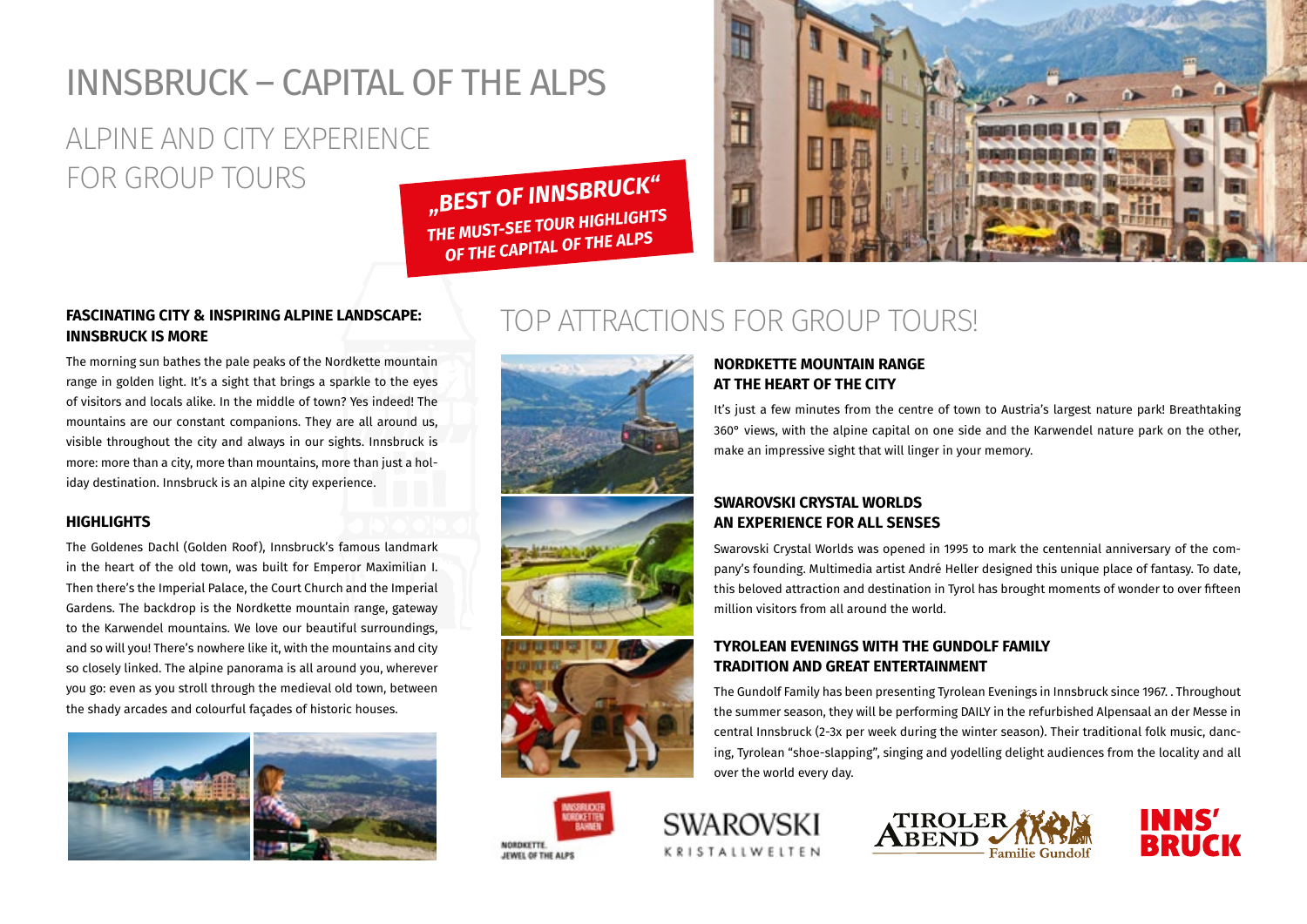## INNSBRUCK – CAPITAL OF THE ALPS

### ALPINE AND CITY EXPERIENCE FOR GROUP TOURS

*"BEST OF INNSBRUCK" THE MUST-SEE TOUR HIGHLIGHTS OF THE CAPITAL OF THE ALPS*



#### **FASCINATING CITY & INSPIRING ALPINE LANDSCAPE: INNSBRUCK IS MORE**

The morning sun bathes the pale peaks of the Nordkette mountain range in golden light. It's a sight that brings a sparkle to the eyes of visitors and locals alike. In the middle of town? Yes indeed! The mountains are our constant companions. They are all around us, visible throughout the city and always in our sights. Innsbruck is more: more than a city, more than mountains, more than just a holiday destination. Innsbruck is an alpine city experience.

#### **HIGHLIGHTS**

The Goldenes Dachl (Golden Roof), Innsbruck's famous landmark in the heart of the old town, was built for Emperor Maximilian I. Then there's the Imperial Palace, the Court Church and the Imperial Gardens. The backdrop is the Nordkette mountain range, gateway to the Karwendel mountains. We love our beautiful surroundings, and so will you! There's nowhere like it, with the mountains and city so closely linked. The alpine panorama is all around you, wherever you go: even as you stroll through the medieval old town, between the shady arcades and colourful façades of historic houses.





### TOP ATTRACTIONS FOR GROUP TOURS!







#### **NORDKETTE MOUNTAIN RANGE AT THE HEART OF THE CITY**

It's just a few minutes from the centre of town to Austria's largest nature park! Breathtaking 360° views, with the alpine capital on one side and the Karwendel nature park on the other, make an impressive sight that will linger in your memory.

#### **SWAROVSKI CRYSTAL WORLDS AN EXPERIENCE FOR ALL SENSES**

Swarovski Crystal Worlds was opened in 1995 to mark the centennial anniversary of the company's founding. Multimedia artist André Heller designed this unique place of fantasy. To date, this beloved attraction and destination in Tyrol has brought moments of wonder to over fifteen million visitors from all around the world.

#### **TYROLEAN EVENINGS WITH THE GUNDOLF FAMILY TRADITION AND GREAT ENTERTAINMENT**

The Gundolf Family has been presenting Tyrolean Evenings in Innsbruck since 1967. . Throughout the summer season, they will be performing DAILY in the refurbished Alpensaal an der Messe in central Innsbruck (2-3x per week during the winter season). Their traditional folk music, dancing, Tyrolean "shoe-slapping", singing and yodelling delight audiences from the locality and all over the world every day.





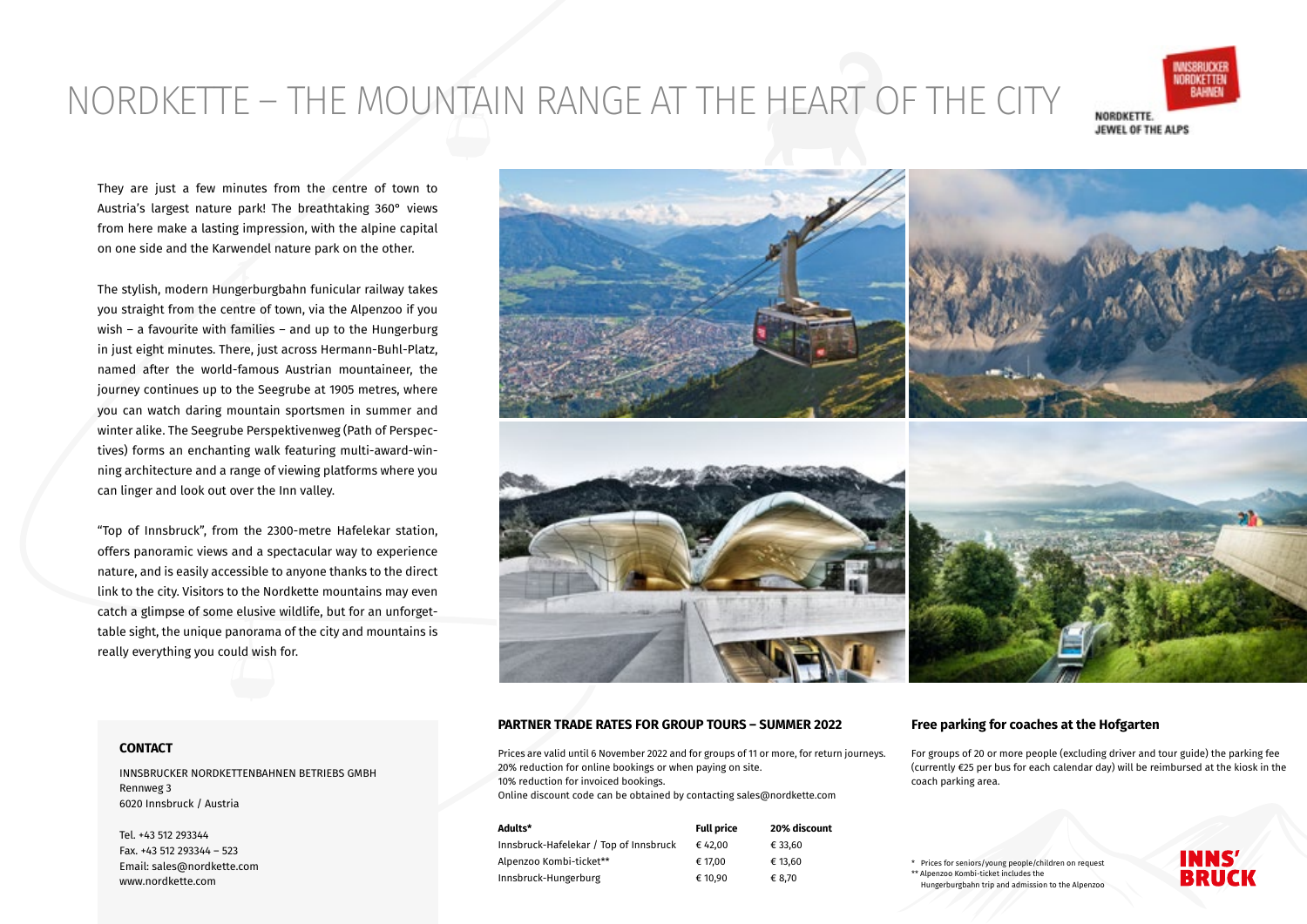## NORDKETTE – THE MOUNTAIN RANGE AT THE HEART OF THE CITY



They are just a few minutes from the centre of town to Austria's largest nature park! The breathtaking 360° views from here make a lasting impression, with the alpine capital on one side and the Karwendel nature park on the other.

The stylish, modern Hungerburgbahn funicular railway takes you straight from the centre of town, via the Alpenzoo if you wish – a favourite with families – and up to the Hungerburg in just eight minutes. There, just across Hermann-Buhl-Platz, named after the world-famous Austrian mountaineer, the journey continues up to the Seegrube at 1905 metres, where you can watch daring mountain sportsmen in summer and winter alike. The Seegrube Perspektivenweg (Path of Perspectives) forms an enchanting walk featuring multi-award-winning architecture and a range of viewing platforms where you can linger and look out over the Inn valley.

"Top of Innsbruck", from the 2300-metre Hafelekar station, offers panoramic views and a spectacular way to experience nature, and is easily accessible to anyone thanks to the direct link to the city. Visitors to the Nordkette mountains may even catch a glimpse of some elusive wildlife, but for an unforgettable sight, the unique panorama of the city and mountains is really everything you could wish for.



#### **PARTNER TRADE RATES FOR GROUP TOURS – SUMMER 2022**

Prices are valid until 6 November 2022 and for groups of 11 or more, for return journeys. 20% reduction for online bookings or when paying on site. 10% reduction for invoiced bookings. Online discount code can be obtained by contacting sales@nordkette.com

| Adults*                                | <b>Full price</b> | 20% discount |
|----------------------------------------|-------------------|--------------|
| Innsbruck-Hafelekar / Top of Innsbruck | € 42.00           | € 33.60      |
| Alpenzoo Kombi-ticket**                | € 17.00           | € 13.60      |
| Innsbruck-Hungerburg                   | € 10.90           | € 8.70       |

#### **Free parking for coaches at the Hofgarten**

For groups of 20 or more people (excluding driver and tour guide) the parking fee (currently €25 per bus for each calendar day) will be reimbursed at the kiosk in the coach parking area.

Prices for seniors/young people/children on request \*\* Alpenzoo Kombi-ticket includes the Hungerburgbahn trip and admission to the Alpenzoo



#### **CONTACT**

INNSBRUCKER NORDKETTENBAHNEN BETRIEBS GMBH Rennweg 3 6020 Innsbruck / Austria

Tel. +43 512 293344 Fax. +43 512 293344 – 523 Email: sales@nordkette.com www.nordkette.com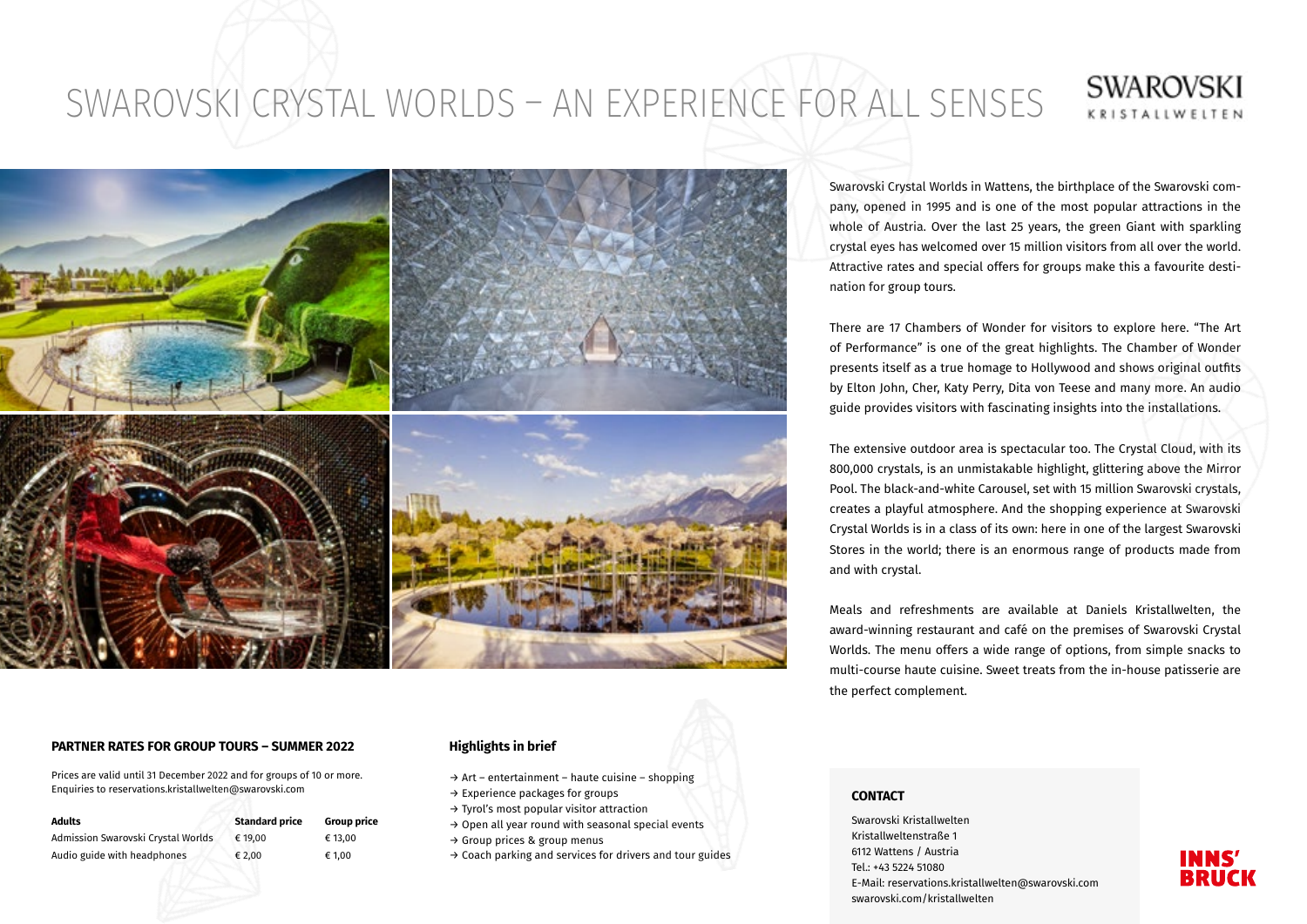# SWAROVSKI CRYSTAL WORLDS – AN EXPERIENCE FOR ALL SENSES





#### **PARTNER RATES FOR GROUP TOURS – SUMMER 2022**

Prices are valid until 31 December 2022 and for groups of 10 or more. Enquiries to reservations.kristallwelten@swarovski.com

| Adults                             | <b>Standard price</b> | <b>Group price</b> |
|------------------------------------|-----------------------|--------------------|
| Admission Swarovski Crystal Worlds | € 19.00               | € 13.00            |
| Audio guide with headphones        | € 2.00                | € 1.00             |

#### **Highlights in brief**

- $\rightarrow$  Art entertainment haute cuisine shopping
- → Experience packages for groups
- → Tyrol's most popular visitor attraction
- → Open all year round with seasonal special events
- → Group prices & group menus
- → Coach parking and services for drivers and tour guides

Swarovski Crystal Worlds in Wattens, the birthplace of the Swarovski company, opened in 1995 and is one of the most popular attractions in the whole of Austria. Over the last 25 years, the green Giant with sparkling crystal eyes has welcomed over 15 million visitors from all over the world. Attractive rates and special offers for groups make this a favourite destination for group tours.

There are 17 Chambers of Wonder for visitors to explore here. "The Art of Performance" is one of the great highlights. The Chamber of Wonder presents itself as a true homage to Hollywood and shows original outfits by Elton John, Cher, Katy Perry, Dita von Teese and many more. An audio guide provides visitors with fascinating insights into the installations.

The extensive outdoor area is spectacular too. The Crystal Cloud, with its 800,000 crystals, is an unmistakable highlight, glittering above the Mirror Pool. The black-and-white Carousel, set with 15 million Swarovski crystals, creates a playful atmosphere. And the shopping experience at Swarovski Crystal Worlds is in a class of its own: here in one of the largest Swarovski Stores in the world; there is an enormous range of products made from and with crystal.

Meals and refreshments are available at Daniels Kristallwelten, the award-winning restaurant and café on the premises of Swarovski Crystal Worlds. The menu offers a wide range of options, from simple snacks to multi-course haute cuisine. Sweet treats from the in-house patisserie are the perfect complement.

#### **CONTACT**

Swarovski Kristallwelten Kristallweltenstraße 1 6112 Wattens / Austria Tel.: +43 5224 51080 E-Mail: reservations.kristallwelten@swarovski.com swarovski.com/kristallwelten

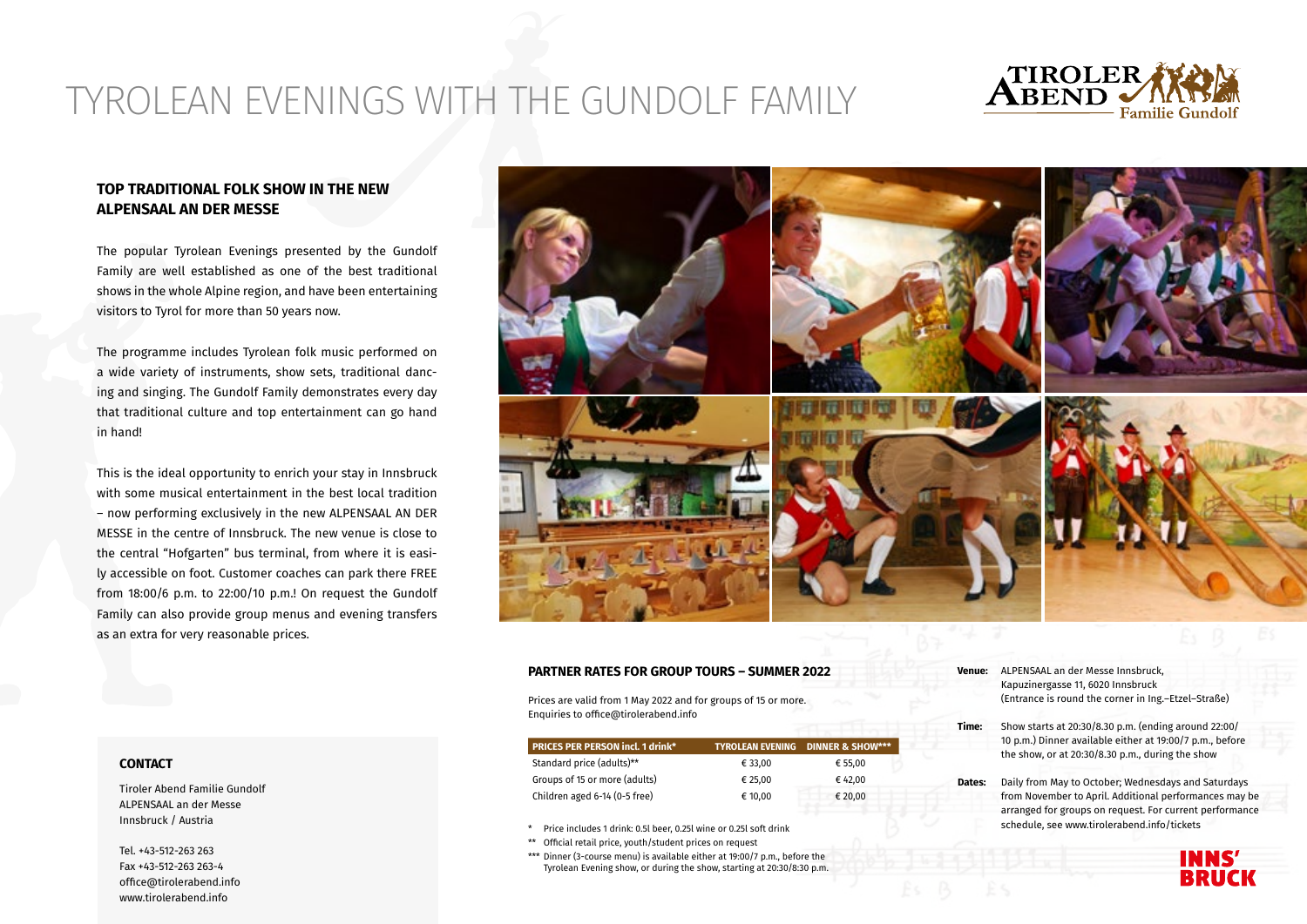## TYROLEAN EVENINGS WITH THE GUNDOLF FAMILY



#### **TOP TRADITIONAL FOLK SHOW IN THE NEW ALPENSAAL AN DER MESSE**

The popular Tyrolean Evenings presented by the Gundolf Family are well established as one of the best traditional shows in the whole Alpine region, and have been entertaining visitors to Tyrol for more than 50 years now.

The programme includes Tyrolean folk music performed on a wide variety of instruments, show sets, traditional dancing and singing. The Gundolf Family demonstrates every day that traditional culture and top entertainment can go hand in hand!

This is the ideal opportunity to enrich your stay in Innsbruck with some musical entertainment in the best local tradition – now performing exclusively in the new ALPENSAAL AN DER MESSE in the centre of Innsbruck. The new venue is close to the central "Hofgarten" bus terminal, from where it is easily accessible on foot. Customer coaches can park there FREE from 18:00/6 p.m. to 22:00/10 p.m.! On request the Gundolf Family can also provide group menus and evening transfers as an extra for very reasonable prices.



#### **PARTNER RATES FOR GROUP TOURS – SUMMER 2022**

Prices are valid from 1 May 2022 and for groups of 15 or more. Enquiries to office@tirolerabend.info

| <b>PRICES PER PERSON incl. 1 drink*</b> |         | <b>TYROLEAN EVENING DINNER &amp; SHOW***</b> |
|-----------------------------------------|---------|----------------------------------------------|
| Standard price (adults)**               | € 33.00 | € 55.00                                      |
| Groups of 15 or more (adults)           | € 25.00 | € 42.00                                      |
| Children aged 6-14 (0-5 free)           | € 10,00 | € 20,00                                      |

- \* Price includes 1 drink: 0.5l beer, 0.25l wine or 0.25l soft drink
- \*\* Official retail price, youth/student prices on request
- \*\*\* Dinner (3-course menu) is available either at 19:00/7 p.m., before the Tyrolean Evening show, or during the show, starting at 20:30/8:30 p.m.
- **Venue:** ALPENSAAL an der Messe Innsbruck, Kapuzinergasse 11, 6020 Innsbruck (Entrance is round the corner in Ing.–Etzel–Straße)
- **Time:** Show starts at 20:30/8.30 p.m. (ending around 22:00/ 10 p.m.) Dinner available either at 19:00/7 p.m., before the show, or at 20:30/8.30 p.m., during the show
- **Dates:** Daily from May to October; Wednesdays and Saturdays from November to April. Additional performances may be arranged for groups on request. For current performance schedule, see www.tirolerabend.info/tickets



#### **CONTACT**

Tiroler Abend Familie Gundolf ALPENSAAL an der Messe Innsbruck / Austria

Tel. +43-512-263 263 Fax +43-512-263 263-4 office@tirolerabend.info www.tirolerabend.info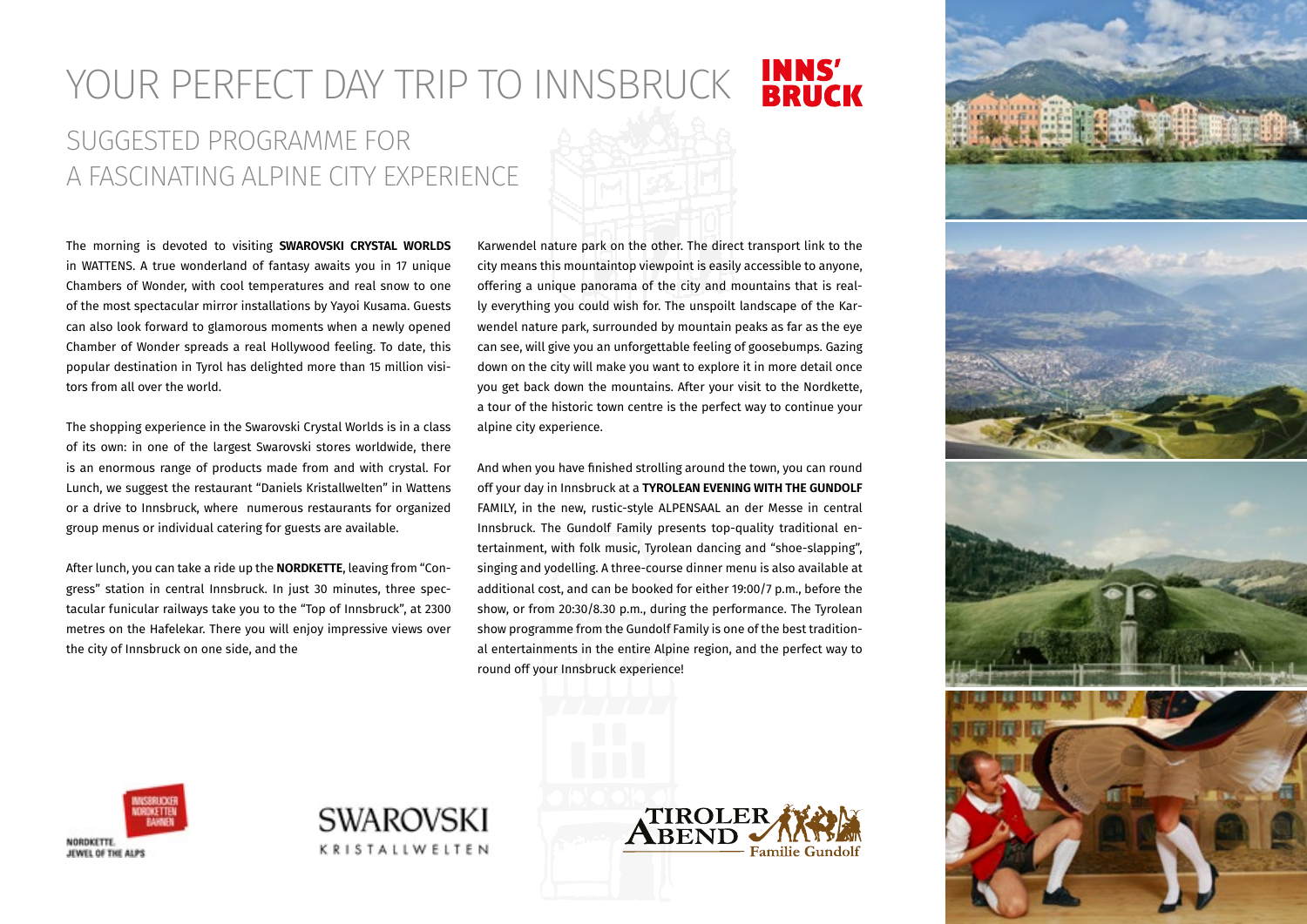### **INNS'<br>BRUCK** YOUR PERFECT DAY TRIP TO INNSBRUCK SUGGESTED PROGRAMME FOR A FASCINATING ALPINE CITY EXPERIENCE

The morning is devoted to visiting **SWAROVSKI CRYSTAL WORLDS** in WATTENS. A true wonderland of fantasy awaits you in 17 unique Chambers of Wonder, with cool temperatures and real snow to one of the most spectacular mirror installations by Yayoi Kusama. Guests can also look forward to glamorous moments when a newly opened Chamber of Wonder spreads a real Hollywood feeling. To date, this popular destination in Tyrol has delighted more than 15 million visitors from all over the world.

The shopping experience in the Swarovski Crystal Worlds is in a class of its own: in one of the largest Swarovski stores worldwide, there is an enormous range of products made from and with crystal. For Lunch, we suggest the restaurant "Daniels Kristallwelten" in Wattens or a drive to Innsbruck, where numerous restaurants for organized group menus or individual catering for guests are available.

After lunch, you can take a ride up the **NORDKETTE**, leaving from "Congress" station in central Innsbruck. In just 30 minutes, three spectacular funicular railways take you to the "Top of Innsbruck", at 2300 metres on the Hafelekar. There you will enjoy impressive views over the city of Innsbruck on one side, and the

Karwendel nature park on the other. The direct transport link to the city means this mountaintop viewpoint is easily accessible to anyone, offering a unique panorama of the city and mountains that is really everything you could wish for. The unspoilt landscape of the Karwendel nature park, surrounded by mountain peaks as far as the eye can see, will give you an unforgettable feeling of goosebumps. Gazing down on the city will make you want to explore it in more detail once you get back down the mountains. After your visit to the Nordkette, a tour of the historic town centre is the perfect way to continue your alpine city experience.

And when you have finished strolling around the town, you can round off your day in Innsbruck at a **TYROLEAN EVENING WITH THE GUNDOLF**  FAMILY, in the new, rustic-style ALPENSAAL an der Messe in central Innsbruck. The Gundolf Family presents top-quality traditional entertainment, with folk music, Tyrolean dancing and "shoe-slapping", singing and yodelling. A three-course dinner menu is also available at additional cost, and can be booked for either 19:00/7 p.m., before the show, or from 20:30/8.30 p.m., during the performance. The Tyrolean show programme from the Gundolf Family is one of the best traditional entertainments in the entire Alpine region, and the perfect way to round off your Innsbruck experience!